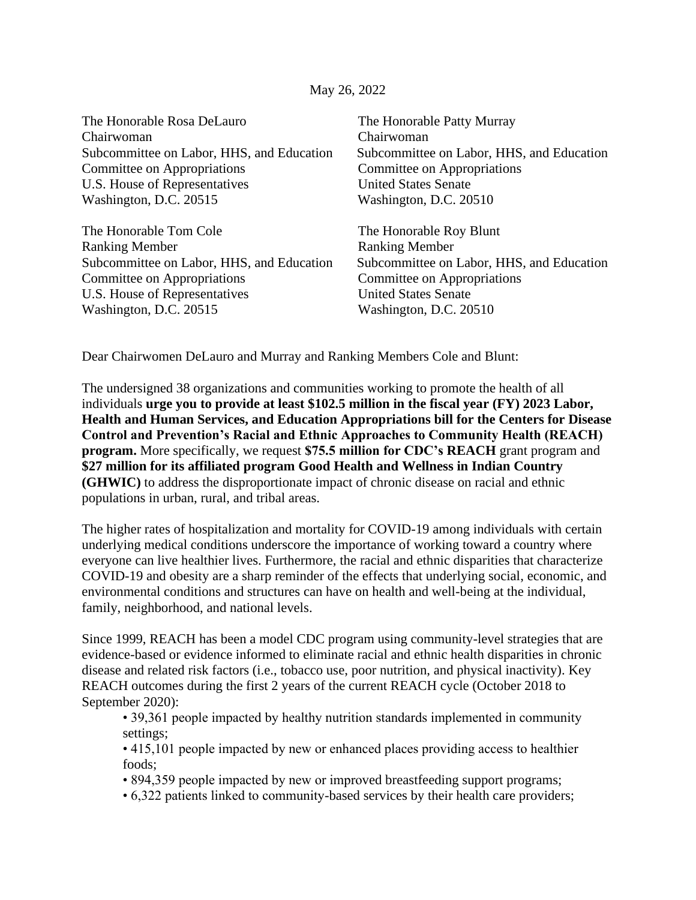## May 26, 2022

The Honorable Rosa DeLauro The Honorable Patty Murray Chairwoman Chairwoman Committee on Appropriations Committee on Appropriations U.S. House of Representatives United States Senate Washington, D.C. 20515 Washington, D.C. 20510

The Honorable Tom Cole The Honorable Roy Blunt Ranking Member Ranking Member Subcommittee on Labor, HHS, and Education Subcommittee on Labor, HHS, and Education Committee on Appropriations Committee on Appropriations U.S. House of Representatives United States Senate Washington, D.C. 20515 Washington, D.C. 20510

Subcommittee on Labor, HHS, and Education Subcommittee on Labor, HHS, and Education

Dear Chairwomen DeLauro and Murray and Ranking Members Cole and Blunt:

The undersigned 38 organizations and communities working to promote the health of all individuals **urge you to provide at least \$102.5 million in the fiscal year (FY) 2023 Labor, Health and Human Services, and Education Appropriations bill for the Centers for Disease Control and Prevention's Racial and Ethnic Approaches to Community Health (REACH) program.** More specifically, we request **\$75.5 million for CDC's REACH** grant program and **\$27 million for its affiliated program Good Health and Wellness in Indian Country (GHWIC)** to address the disproportionate impact of chronic disease on racial and ethnic populations in urban, rural, and tribal areas.

The higher rates of hospitalization and mortality for COVID-19 among individuals with certain underlying medical conditions underscore the importance of working toward a country where everyone can live healthier lives. Furthermore, the racial and ethnic disparities that characterize COVID-19 and obesity are a sharp reminder of the effects that underlying social, economic, and environmental conditions and structures can have on health and well-being at the individual, family, neighborhood, and national levels.

Since 1999, REACH has been a model CDC program using community-level strategies that are evidence-based or evidence informed to eliminate racial and ethnic health disparities in chronic disease and related risk factors (i.e., tobacco use, poor nutrition, and physical inactivity). Key REACH outcomes during the first 2 years of the current REACH cycle (October 2018 to September 2020):

• 39,361 people impacted by healthy nutrition standards implemented in community settings;

• 415,101 people impacted by new or enhanced places providing access to healthier foods;

• 894,359 people impacted by new or improved breastfeeding support programs;

• 6,322 patients linked to community-based services by their health care providers;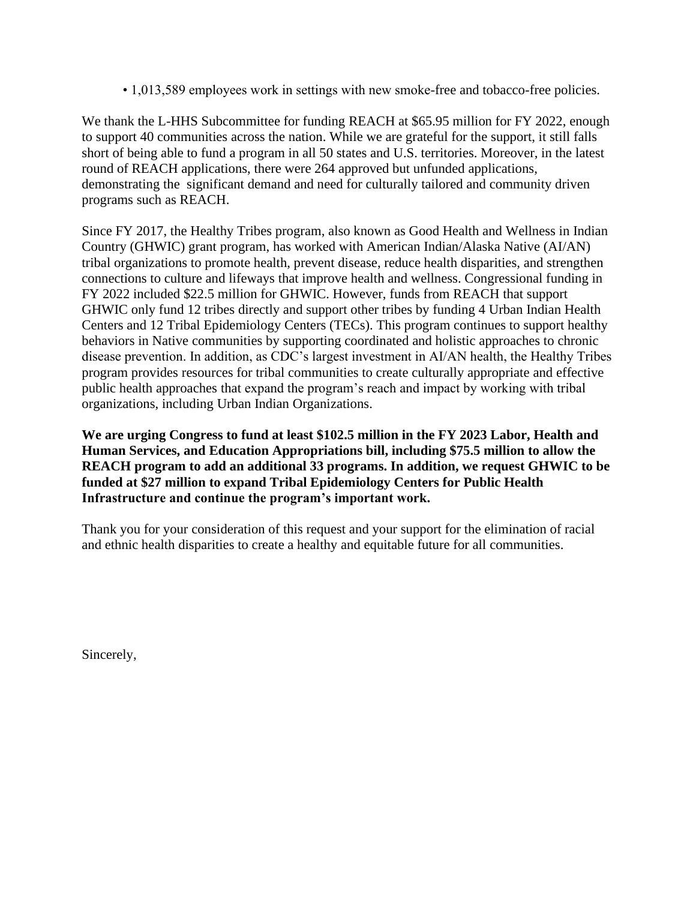• 1,013,589 employees work in settings with new smoke-free and tobacco-free policies.

We thank the L-HHS Subcommittee for funding REACH at \$65.95 million for FY 2022, enough to support 40 communities across the nation. While we are grateful for the support, it still falls short of being able to fund a program in all 50 states and U.S. territories. Moreover, in the latest round of REACH applications, there were 264 approved but unfunded applications, demonstrating the significant demand and need for culturally tailored and community driven programs such as REACH.

Since FY 2017, the Healthy Tribes program, also known as Good Health and Wellness in Indian Country (GHWIC) grant program, has worked with American Indian/Alaska Native (AI/AN) tribal organizations to promote health, prevent disease, reduce health disparities, and strengthen connections to culture and lifeways that improve health and wellness. Congressional funding in FY 2022 included \$22.5 million for GHWIC. However, funds from REACH that support GHWIC only fund 12 tribes directly and support other tribes by funding 4 Urban Indian Health Centers and 12 Tribal Epidemiology Centers (TECs). This program continues to support healthy behaviors in Native communities by supporting coordinated and holistic approaches to chronic disease prevention. In addition, as CDC's largest investment in AI/AN health, the Healthy Tribes program provides resources for tribal communities to create culturally appropriate and effective public health approaches that expand the program's reach and impact by working with tribal organizations, including Urban Indian Organizations.

**We are urging Congress to fund at least \$102.5 million in the FY 2023 Labor, Health and Human Services, and Education Appropriations bill, including \$75.5 million to allow the REACH program to add an additional 33 programs. In addition, we request GHWIC to be funded at \$27 million to expand Tribal Epidemiology Centers for Public Health Infrastructure and continue the program's important work.**

Thank you for your consideration of this request and your support for the elimination of racial and ethnic health disparities to create a healthy and equitable future for all communities.

Sincerely,